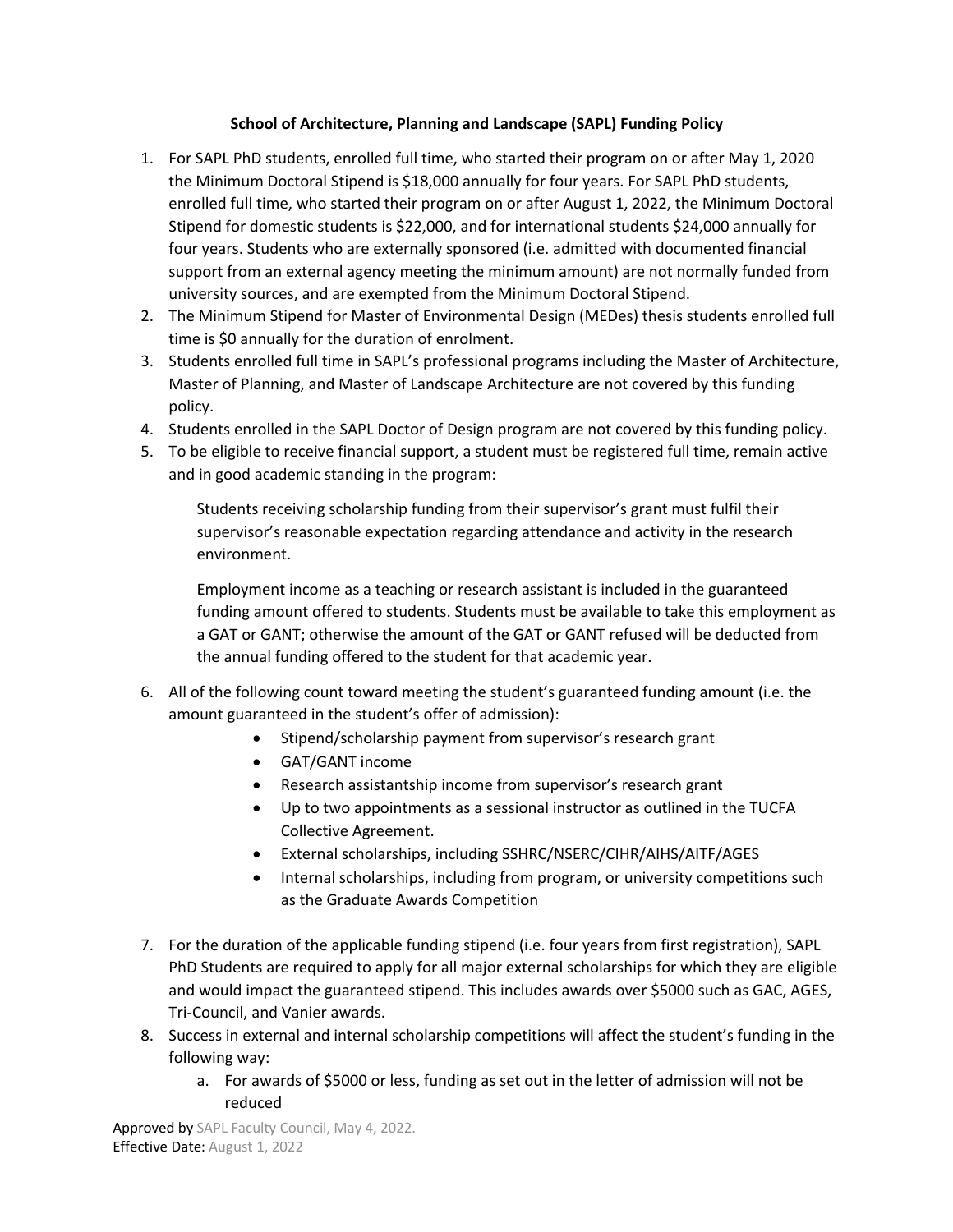## **School of Architecture, Planning and Landscape (SAPL) Funding Policy**

- 1. For SAPL PhD students, enrolled full time, who started their program on or after May 1, 2020 the Minimum Doctoral Stipend is \$18,000 annually for four years. For SAPL PhD students, enrolled full time, who started their program on or after August 1, 2022, the Minimum Doctoral Stipend for domestic students is \$22,000, and for international students \$24,000 annually for four years. Students who are externally sponsored (i.e. admitted with documented financial support from an external agency meeting the minimum amount) are not normally funded from university sources, and are exempted from the Minimum Doctoral Stipend.
- 2. The Minimum Stipend for Master of Environmental Design (MEDes) thesis students enrolled full time is \$0 annually for the duration of enrolment.
- 3. Students enrolled full time in SAPL's professional programs including the Master of Architecture, Master of Planning, and Master of Landscape Architecture are not covered by this funding policy.
- 4. Students enrolled in the SAPL Doctor of Design program are not covered by this funding policy.
- 5. To be eligible to receive financial support, a student must be registered full time, remain active and in good academic standing in the program:

Students receiving scholarship funding from their supervisor's grant must fulfil their supervisor's reasonable expectation regarding attendance and activity in the research environment.

Employment income as a teaching or research assistant is included in the guaranteed funding amount offered to students. Students must be available to take this employment as a GAT or GANT; otherwise the amount of the GAT or GANT refused will be deducted from the annual funding offered to the student for that academic year.

- 6. All of the following count toward meeting the student's guaranteed funding amount (i.e. the amount guaranteed in the student's offer of admission):
	- Stipend/scholarship payment from supervisor's research grant
	- GAT/GANT income
	- Research assistantship income from supervisor's research grant
	- Up to two appointments as a sessional instructor as outlined in the TUCFA Collective Agreement.
	- External scholarships, including SSHRC/NSERC/CIHR/AIHS/AITF/AGES
	- Internal scholarships, including from program, or university competitions such as the Graduate Awards Competition
- 7. For the duration of the applicable funding stipend (i.e. four years from first registration), SAPL PhD Students are required to apply for all major external scholarships for which they are eligible and would impact the guaranteed stipend. This includes awards over \$5000 such as GAC, AGES, Tri-Council, and Vanier awards.
- 8. Success in external and internal scholarship competitions will affect the student's funding in the following way:
	- a. For awards of \$5000 or less, funding as set out in the letter of admission will not be reduced